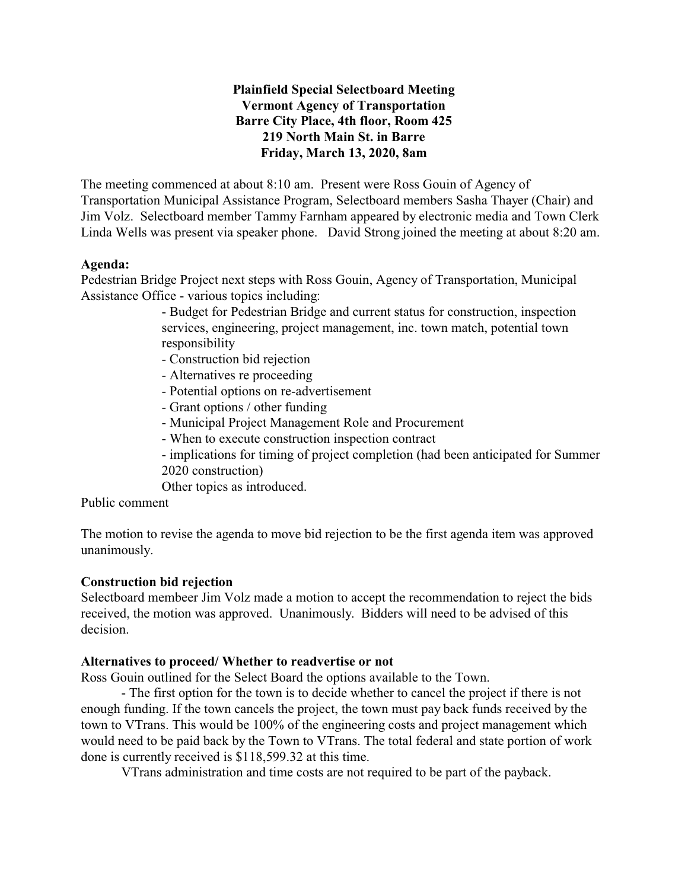# **Plainfield Special Selectboard Meeting Vermont Agency of Transportation Barre City Place, 4th floor, Room 425 219 North Main St. in Barre Friday, March 13, 2020, 8am**

The meeting commenced at about 8:10 am. Present were Ross Gouin of Agency of Transportation Municipal Assistance Program, Selectboard members Sasha Thayer (Chair) and Jim Volz. Selectboard member Tammy Farnham appeared by electronic media and Town Clerk Linda Wells was present via speaker phone. David Strong joined the meeting at about 8:20 am.

#### **Agenda:**

Pedestrian Bridge Project next steps with Ross Gouin, Agency of Transportation, Municipal Assistance Office - various topics including:

> - Budget for Pedestrian Bridge and current status for construction, inspection services, engineering, project management, inc. town match, potential town responsibility

- Construction bid rejection
- Alternatives re proceeding
- Potential options on re-advertisement
- Grant options / other funding
- Municipal Project Management Role and Procurement
- When to execute construction inspection contract
- implications for timing of project completion (had been anticipated for Summer 2020 construction)
- Other topics as introduced.

Public comment

The motion to revise the agenda to move bid rejection to be the first agenda item was approved unanimously.

#### **Construction bid rejection**

Selectboard membeer Jim Volz made a motion to accept the recommendation to reject the bids received, the motion was approved. Unanimously. Bidders will need to be advised of this decision.

#### **Alternatives to proceed/ Whether to readvertise or not**

Ross Gouin outlined for the Select Board the options available to the Town.

- The first option for the town is to decide whether to cancel the project if there is not enough funding. If the town cancels the project, the town must pay back funds received by the town to VTrans. This would be 100% of the engineering costs and project management which would need to be paid back by the Town to VTrans. The total federal and state portion of work done is currently received is \$118,599.32 at this time.

VTrans administration and time costs are not required to be part of the payback.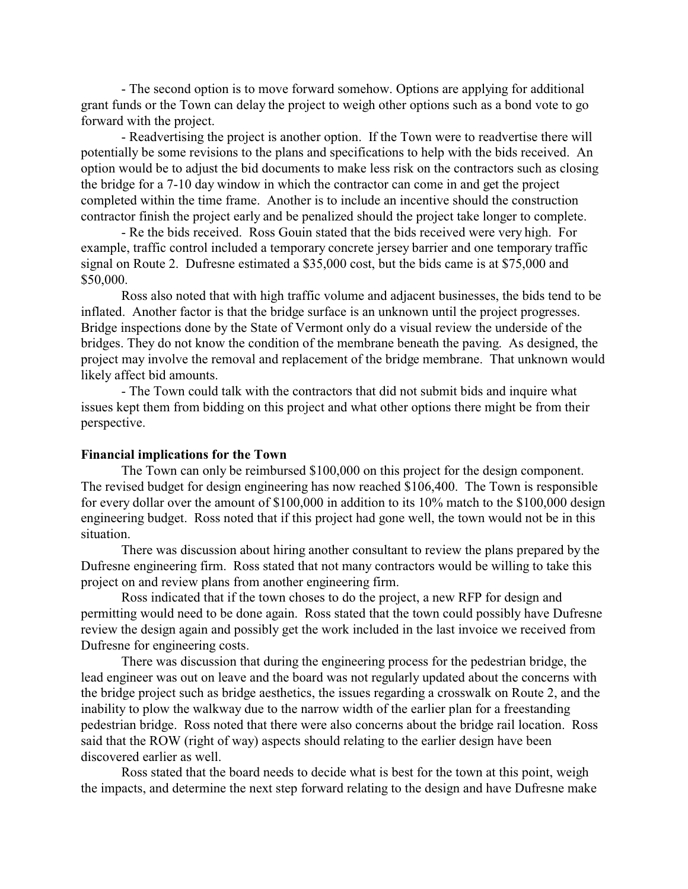- The second option is to move forward somehow. Options are applying for additional grant funds or the Town can delay the project to weigh other options such as a bond vote to go forward with the project.

- Readvertising the project is another option. If the Town were to readvertise there will potentially be some revisions to the plans and specifications to help with the bids received. An option would be to adjust the bid documents to make less risk on the contractors such as closing the bridge for a 7-10 day window in which the contractor can come in and get the project completed within the time frame. Another is to include an incentive should the construction contractor finish the project early and be penalized should the project take longer to complete.

- Re the bids received. Ross Gouin stated that the bids received were very high. For example, traffic control included a temporary concrete jersey barrier and one temporary traffic signal on Route 2. Dufresne estimated a \$35,000 cost, but the bids came is at \$75,000 and \$50,000.

Ross also noted that with high traffic volume and adjacent businesses, the bids tend to be inflated. Another factor is that the bridge surface is an unknown until the project progresses. Bridge inspections done by the State of Vermont only do a visual review the underside of the bridges. They do not know the condition of the membrane beneath the paving. As designed, the project may involve the removal and replacement of the bridge membrane. That unknown would likely affect bid amounts.

- The Town could talk with the contractors that did not submit bids and inquire what issues kept them from bidding on this project and what other options there might be from their perspective.

#### **Financial implications for the Town**

The Town can only be reimbursed \$100,000 on this project for the design component. The revised budget for design engineering has now reached \$106,400. The Town is responsible for every dollar over the amount of \$100,000 in addition to its 10% match to the \$100,000 design engineering budget. Ross noted that if this project had gone well, the town would not be in this situation.

There was discussion about hiring another consultant to review the plans prepared by the Dufresne engineering firm. Ross stated that not many contractors would be willing to take this project on and review plans from another engineering firm.

Ross indicated that if the town choses to do the project, a new RFP for design and permitting would need to be done again. Ross stated that the town could possibly have Dufresne review the design again and possibly get the work included in the last invoice we received from Dufresne for engineering costs.

There was discussion that during the engineering process for the pedestrian bridge, the lead engineer was out on leave and the board was not regularly updated about the concerns with the bridge project such as bridge aesthetics, the issues regarding a crosswalk on Route 2, and the inability to plow the walkway due to the narrow width of the earlier plan for a freestanding pedestrian bridge. Ross noted that there were also concerns about the bridge rail location. Ross said that the ROW (right of way) aspects should relating to the earlier design have been discovered earlier as well.

Ross stated that the board needs to decide what is best for the town at this point, weigh the impacts, and determine the next step forward relating to the design and have Dufresne make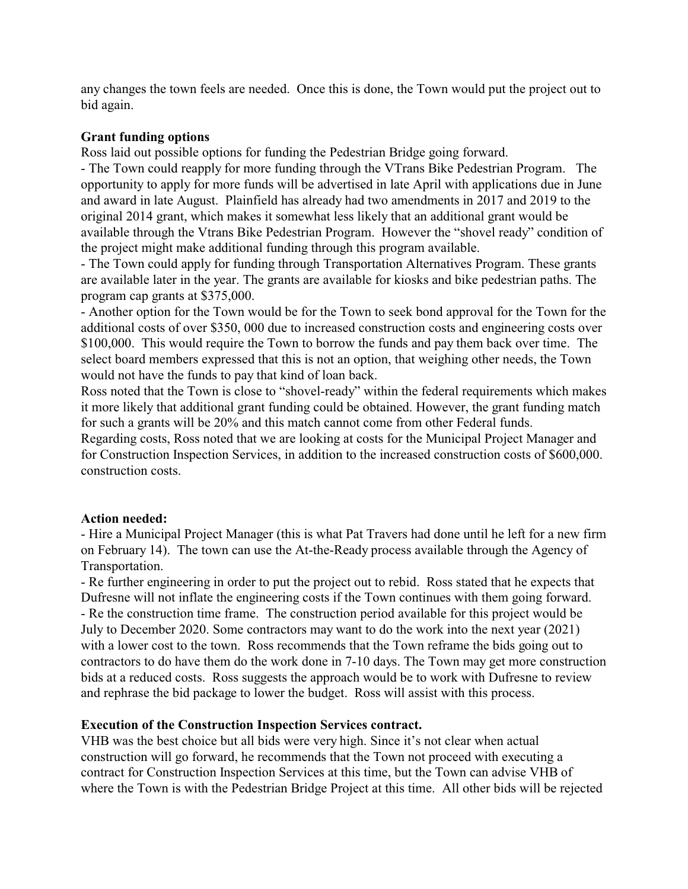any changes the town feels are needed. Once this is done, the Town would put the project out to bid again.

## **Grant funding options**

Ross laid out possible options for funding the Pedestrian Bridge going forward.

- The Town could reapply for more funding through the VTrans Bike Pedestrian Program. The opportunity to apply for more funds will be advertised in late April with applications due in June and award in late August. Plainfield has already had two amendments in 2017 and 2019 to the original 2014 grant, which makes it somewhat less likely that an additional grant would be available through the Vtrans Bike Pedestrian Program. However the "shovel ready" condition of the project might make additional funding through this program available.

- The Town could apply for funding through Transportation Alternatives Program. These grants are available later in the year. The grants are available for kiosks and bike pedestrian paths. The program cap grants at \$375,000.

- Another option for the Town would be for the Town to seek bond approval for the Town for the additional costs of over \$350, 000 due to increased construction costs and engineering costs over \$100,000. This would require the Town to borrow the funds and pay them back over time. The select board members expressed that this is not an option, that weighing other needs, the Town would not have the funds to pay that kind of loan back.

Ross noted that the Town is close to "shovel-ready" within the federal requirements which makes it more likely that additional grant funding could be obtained. However, the grant funding match for such a grants will be 20% and this match cannot come from other Federal funds.

Regarding costs, Ross noted that we are looking at costs for the Municipal Project Manager and for Construction Inspection Services, in addition to the increased construction costs of \$600,000. construction costs.

#### **Action needed:**

- Hire a Municipal Project Manager (this is what Pat Travers had done until he left for a new firm on February 14). The town can use the At-the-Ready process available through the Agency of Transportation.

- Re further engineering in order to put the project out to rebid. Ross stated that he expects that Dufresne will not inflate the engineering costs if the Town continues with them going forward. - Re the construction time frame. The construction period available for this project would be July to December 2020. Some contractors may want to do the work into the next year (2021) with a lower cost to the town. Ross recommends that the Town reframe the bids going out to contractors to do have them do the work done in 7-10 days. The Town may get more construction bids at a reduced costs. Ross suggests the approach would be to work with Dufresne to review and rephrase the bid package to lower the budget. Ross will assist with this process.

# **Execution of the Construction Inspection Services contract.**

VHB was the best choice but all bids were very high. Since it's not clear when actual construction will go forward, he recommends that the Town not proceed with executing a contract for Construction Inspection Services at this time, but the Town can advise VHB of where the Town is with the Pedestrian Bridge Project at this time. All other bids will be rejected